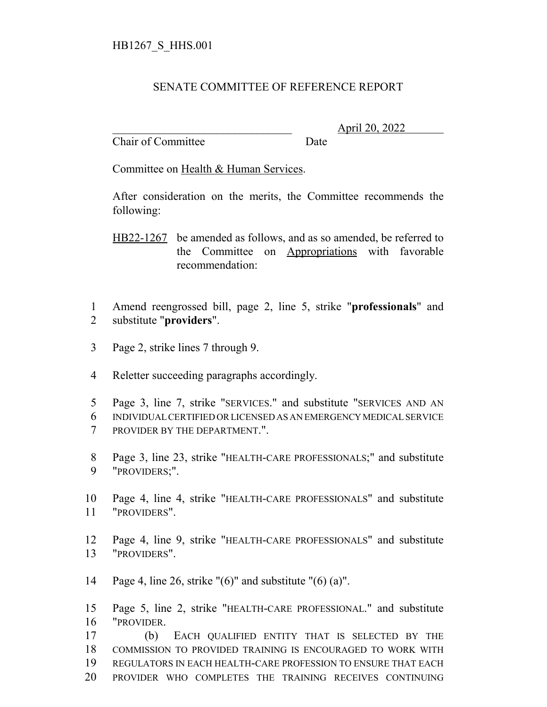## SENATE COMMITTEE OF REFERENCE REPORT

Chair of Committee Date

\_\_\_\_\_\_\_\_\_\_\_\_\_\_\_\_\_\_\_\_\_\_\_\_\_\_\_\_\_\_\_ April 20, 2022

Committee on Health & Human Services.

After consideration on the merits, the Committee recommends the following:

HB22-1267 be amended as follows, and as so amended, be referred to the Committee on Appropriations with favorable recommendation:

- Amend reengrossed bill, page 2, line 5, strike "**professionals**" and substitute "**providers**".
- Page 2, strike lines 7 through 9.
- Reletter succeeding paragraphs accordingly.
- Page 3, line 7, strike "SERVICES." and substitute "SERVICES AND AN INDIVIDUAL CERTIFIED OR LICENSED AS AN EMERGENCY MEDICAL SERVICE PROVIDER BY THE DEPARTMENT.".
- Page 3, line 23, strike "HEALTH-CARE PROFESSIONALS;" and substitute "PROVIDERS;".
- Page 4, line 4, strike "HEALTH-CARE PROFESSIONALS" and substitute "PROVIDERS".
- Page 4, line 9, strike "HEALTH-CARE PROFESSIONALS" and substitute "PROVIDERS".
- Page 4, line 26, strike "(6)" and substitute "(6) (a)".

 Page 5, line 2, strike "HEALTH-CARE PROFESSIONAL." and substitute "PROVIDER.

 (b) EACH QUALIFIED ENTITY THAT IS SELECTED BY THE COMMISSION TO PROVIDED TRAINING IS ENCOURAGED TO WORK WITH REGULATORS IN EACH HEALTH-CARE PROFESSION TO ENSURE THAT EACH PROVIDER WHO COMPLETES THE TRAINING RECEIVES CONTINUING